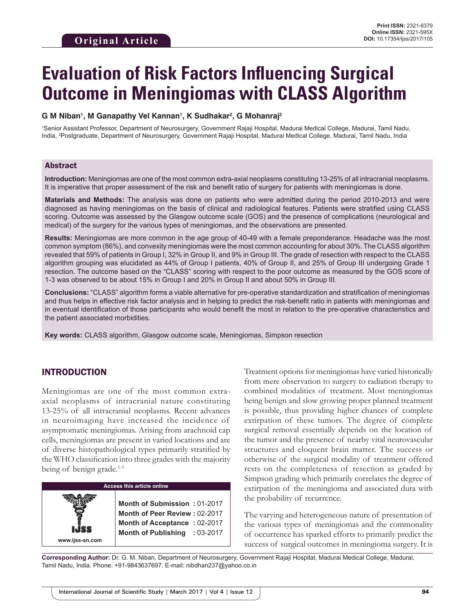# **Evaluation of Risk Factors Influencing Surgical Outcome in Meningiomas with CLASS Algorithm**

#### **G M Niban1 , M Ganapathy Vel Kannan1 , K Sudhakar2 , G Mohanraj2**

1 Senior Assistant Professor, Department of Neurosurgery, Government Rajaji Hospital, Madurai Medical College, Madurai, Tamil Nadu, India, <sup>2</sup>Postgraduate, Department of Neurosurgery, Government Rajaji Hospital, Madurai Medical College, Madurai, Tamil Nadu, India

#### Abstract

**Introduction:** Meningiomas are one of the most common extra-axial neoplasms constituting 13-25% of all intracranial neoplasms. It is imperative that proper assessment of the risk and benefit ratio of surgery for patients with meningiomas is done.

**Materials and Methods:** The analysis was done on patients who were admitted during the period 2010-2013 and were diagnosed as having meningiomas on the basis of clinical and radiological features. Patients were stratified using CLASS scoring. Outcome was assessed by the Glasgow outcome scale (GOS) and the presence of complications (neurological and medical) of the surgery for the various types of meningiomas, and the observations are presented.

**Results:** Meningiomas are more common in the age group of 40-49 with a female preponderance. Headache was the most common symptom (86%), and convexity meningiomas were the most common accounting for about 30%. The CLASS algorithm revealed that 59% of patients in Group I, 32% in Group II, and 9% in Group III. The grade of resection with respect to the CLASS algorithm grouping was elucidated as 44% of Group I patients, 40% of Group II, and 25% of Group III undergoing Grade 1 resection. The outcome based on the "CLASS" scoring with respect to the poor outcome as measured by the GOS score of 1-3 was observed to be about 15% in Group I and 20% in Group II and about 50% in Group III.

**Conclusions:** "CLASS" algorithm forms a viable alternative for pre-operative standardization and stratification of meningiomas and thus helps in effective risk factor analysis and in helping to predict the risk-benefit ratio in patients with meningiomas and in eventual identification of those participants who would benefit the most in relation to the pre-operative characteristics and the patient associated morbidities.

**Key words:** CLASS algorithm, Glasgow outcome scale, Meningiomas, Simpson resection

#### INTRODUCTION

Meningiomas are one of the most common extraaxial neoplasms of intracranial nature constituting 13-25% of all intracranial neoplasms. Recent advances in neuroimaging have increased the incidence of asymptomatic meningiomas. Arising from arachnoid cap cells, meningiomas are present in varied locations and are of diverse histopathological types primarily stratified by the WHO classification into three grades with the majority being of benign grade. $1-3$ 

| <b>Access this article online</b> |                                                                                                                                |  |  |  |
|-----------------------------------|--------------------------------------------------------------------------------------------------------------------------------|--|--|--|
| www.ijss-sn.com                   | Month of Submission: 01-2017<br>Month of Peer Review: 02-2017<br>Month of Acceptance: 02-2017<br>Month of Publishing : 03-2017 |  |  |  |

Treatment options for meningiomas have varied historically from mere observation to surgery to radiation therapy to combined modalities of treatment. Most meningiomas being benign and slow growing proper planned treatment is possible, thus providing higher chances of complete extirpation of these tumors. The degree of complete surgical removal essentially depends on the location of the tumor and the presence of nearby vital neurovascular structures and eloquent brain matter. The success or otherwise of the surgical modality of treatment offered rests on the completeness of resection as graded by Simpson grading which primarily correlates the degree of extirpation of the meningioma and associated dura with the probability of recurrence.

The varying and heterogeneous nature of presentation of the various types of meningiomas and the commonality of occurrence has sparked efforts to primarily predict the success of surgical outcomes in meningioma surgery. It is

**Corresponding Author:** Dr. G. M. Niban, Department of Neurosurgery, Government Rajaji Hospital, Madurai Medical College, Madurai, Tamil Nadu, India. Phone: +91-9843637697. E-mail: nibdhan237@yahoo.co.in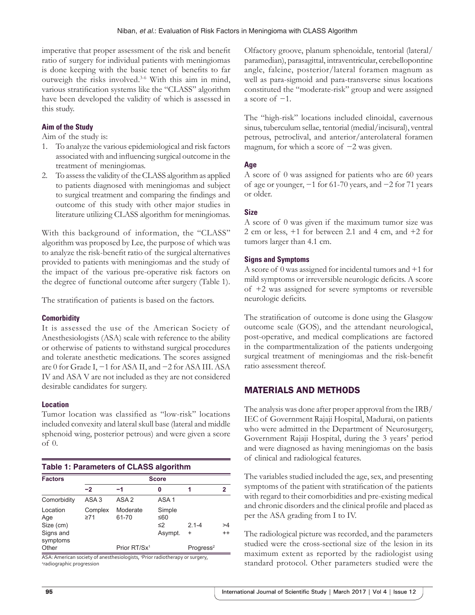imperative that proper assessment of the risk and benefit ratio of surgery for individual patients with meningiomas is done keeping with the basic tenet of benefits to far outweigh the risks involved.3-6 With this aim in mind, various stratification systems like the "CLASS" algorithm have been developed the validity of which is assessed in this study.

#### **Aim of the Study**

Aim of the study is:

- 1. To analyze the various epidemiological and risk factors associated with and influencing surgical outcome in the treatment of meningiomas.
- 2. To assess the validity of the CLASS algorithm as applied to patients diagnosed with meningiomas and subject to surgical treatment and comparing the findings and outcome of this study with other major studies in literature utilizing CLASS algorithm for meningiomas.

With this background of information, the "CLASS" algorithm was proposed by Lee, the purpose of which was to analyze the risk-benefit ratio of the surgical alternatives provided to patients with meningiomas and the study of the impact of the various pre-operative risk factors on the degree of functional outcome after surgery (Table 1).

The stratification of patients is based on the factors.

#### **Comorbidity**

It is assessed the use of the American Society of Anesthesiologists (ASA) scale with reference to the ability or otherwise of patients to withstand surgical procedures and tolerate anesthetic medications. The scores assigned are 0 for Grade I, −1 for ASA II, and −2 for ASA III. ASA IV and ASA V are not included as they are not considered desirable candidates for surgery.

#### **Location**

Tumor location was classified as "low-risk" locations included convexity and lateral skull base (lateral and middle sphenoid wing, posterior petrous) and were given a score of 0.

| <b>Table 1: Parameters of CLASS algorithm</b>         |                      |                          |                                      |                        |               |
|-------------------------------------------------------|----------------------|--------------------------|--------------------------------------|------------------------|---------------|
| <b>Factors</b>                                        |                      |                          | <b>Score</b>                         |                        |               |
|                                                       | $-2$                 | -1                       | 0                                    | 1                      | $\mathbf{2}$  |
| Comorbidity                                           | ASA <sub>3</sub>     | ASA <sub>2</sub>         | ASA <sub>1</sub>                     |                        |               |
| Location<br>Age<br>Size (cm)<br>Signs and<br>symptoms | Complex<br>$\geq 71$ | Moderate<br>61-70        | Simple<br>≤60<br>$\leq$ 2<br>Asympt. | $2.1 - 4$<br>$\ddot{}$ | >4<br>$^{++}$ |
| Other                                                 |                      | Prior RT/Sx <sup>1</sup> |                                      | Progress <sup>2</sup>  |               |

ASA: American society of anesthesiologists, 'Prior radiotherapy or surgery,<br>'radiographic progression

Olfactory groove, planum sphenoidale, tentorial (lateral/ paramedian), parasagittal, intraventricular, cerebellopontine angle, falcine, posterior/lateral foramen magnum as well as para-sigmoid and para-transverse sinus locations constituted the "moderate-risk" group and were assigned a score of −1.

The "high-risk" locations included clinoidal, cavernous sinus, tuberculum sellae, tentorial (medial/incisural), ventral petrous, petroclival, and anterior/anterolateral foramen magnum, for which a score of −2 was given.

#### **Age**

A score of 0 was assigned for patients who are 60 years of age or younger, −1 for 61-70 years, and −2 for 71 years or older.

#### **Size**

A score of 0 was given if the maximum tumor size was 2 cm or less, +1 for between 2.1 and 4 cm, and +2 for tumors larger than 4.1 cm.

#### **Signs and Symptoms**

A score of 0 was assigned for incidental tumors and +1 for mild symptoms or irreversible neurologic deficits. A score of +2 was assigned for severe symptoms or reversible neurologic deficits.

The stratification of outcome is done using the Glasgow outcome scale (GOS), and the attendant neurological, post-operative, and medical complications are factored in the compartmentalization of the patients undergoing surgical treatment of meningiomas and the risk-benefit ratio assessment thereof.

#### MATERIALS AND METHODS

The analysis was done after proper approval from the IRB/ IEC of Government Rajaji Hospital, Madurai, on patients who were admitted in the Department of Neurosurgery, Government Rajaji Hospital, during the 3 years' period and were diagnosed as having meningiomas on the basis of clinical and radiological features.

The variables studied included the age, sex, and presenting symptoms of the patient with stratification of the patients with regard to their comorbidities and pre-existing medical and chronic disorders and the clinical profile and placed as per the ASA grading from I to IV.

The radiological picture was recorded, and the parameters studied were the cross-sectional size of the lesion in its maximum extent as reported by the radiologist using standard protocol. Other parameters studied were the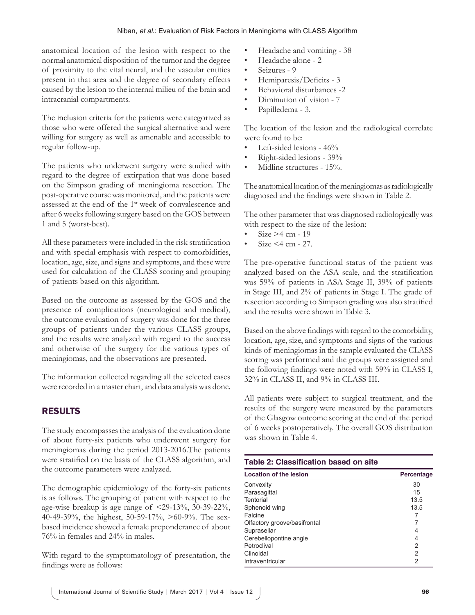anatomical location of the lesion with respect to the normal anatomical disposition of the tumor and the degree of proximity to the vital neural, and the vascular entities present in that area and the degree of secondary effects caused by the lesion to the internal milieu of the brain and intracranial compartments.

The inclusion criteria for the patients were categorized as those who were offered the surgical alternative and were willing for surgery as well as amenable and accessible to regular follow-up.

The patients who underwent surgery were studied with regard to the degree of extirpation that was done based on the Simpson grading of meningioma resection. The post-operative course was monitored, and the patients were assessed at the end of the 1<sup>st</sup> week of convalescence and after 6 weeks following surgery based on the GOS between 1 and 5 (worst-best).

All these parameters were included in the risk stratification and with special emphasis with respect to comorbidities, location, age, size, and signs and symptoms, and these were used for calculation of the CLASS scoring and grouping of patients based on this algorithm.

Based on the outcome as assessed by the GOS and the presence of complications (neurological and medical), the outcome evaluation of surgery was done for the three groups of patients under the various CLASS groups, and the results were analyzed with regard to the success and otherwise of the surgery for the various types of meningiomas, and the observations are presented.

The information collected regarding all the selected cases were recorded in a master chart, and data analysis was done.

## RESULTS

The study encompasses the analysis of the evaluation done of about forty-six patients who underwent surgery for meningiomas during the period 2013-2016.The patients were stratified on the basis of the CLASS algorithm, and the outcome parameters were analyzed.

The demographic epidemiology of the forty-six patients is as follows. The grouping of patient with respect to the age-wise breakup is age range of <29-13%, 30-39-22%, 40-49-39%, the highest, 50-59-17%, >60-9%. The sexbased incidence showed a female preponderance of about 76% in females and 24% in males.

With regard to the symptomatology of presentation, the findings were as follows:

- Headache and vomiting 38
- Headache alone 2
- Seizures 9
- Hemiparesis/Deficits 3
- Behavioral disturbances -2
- Diminution of vision 7
- Papilledema 3.

The location of the lesion and the radiological correlate were found to be:

- Left-sided lesions  $46%$
- Right-sided lesions 39%
- Midline structures 15%.

The anatomical location of the meningiomas as radiologically diagnosed and the findings were shown in Table 2.

The other parameter that was diagnosed radiologically was with respect to the size of the lesion:

- $Size > 4$  cm 19
- $Size < 4 cm 27$ .

The pre-operative functional status of the patient was analyzed based on the ASA scale, and the stratification was 59% of patients in ASA Stage II, 39% of patients in Stage III, and 2% of patients in Stage I. The grade of resection according to Simpson grading was also stratified and the results were shown in Table 3.

Based on the above findings with regard to the comorbidity, location, age, size, and symptoms and signs of the various kinds of meningiomas in the sample evaluated the CLASS scoring was performed and the groups were assigned and the following findings were noted with 59% in CLASS I, 32% in CLASS II, and 9% in CLASS III.

All patients were subject to surgical treatment, and the results of the surgery were measured by the parameters of the Glasgow outcome scoring at the end of the period of 6 weeks postoperatively. The overall GOS distribution was shown in Table 4.

| Table 2: Classification based on site |            |  |  |  |
|---------------------------------------|------------|--|--|--|
| <b>Location of the lesion</b>         | Percentage |  |  |  |
| Convexity                             | 30         |  |  |  |
| Parasagittal                          | 15         |  |  |  |
| Tentorial                             | 13.5       |  |  |  |
| Sphenoid wing                         | 13.5       |  |  |  |
| Falcine                               | 7          |  |  |  |
| Olfactory groove/basifrontal          | 7          |  |  |  |
| Suprasellar                           | 4          |  |  |  |
| Cerebellopontine angle                | 4          |  |  |  |
| Petroclival                           | 2          |  |  |  |
| Clinoidal                             | 2          |  |  |  |
| Intraventricular                      | 2          |  |  |  |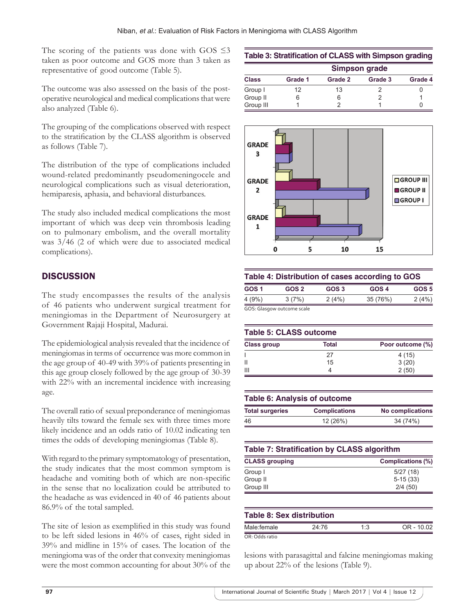The scoring of the patients was done with GOS  $\leq$ 3 taken as poor outcome and GOS more than 3 taken as representative of good outcome (Table 5).

The outcome was also assessed on the basis of the postoperative neurological and medical complications that were also analyzed (Table 6).

The grouping of the complications observed with respect to the stratification by the CLASS algorithm is observed as follows (Table 7).

The distribution of the type of complications included wound-related predominantly pseudomeningocele and neurological complications such as visual deterioration, hemiparesis, aphasia, and behavioral disturbances.

The study also included medical complications the most important of which was deep vein thrombosis leading on to pulmonary embolism, and the overall mortality was 3/46 (2 of which were due to associated medical complications).

## **DISCUSSION**

The study encompasses the results of the analysis of 46 patients who underwent surgical treatment for meningiomas in the Department of Neurosurgery at Government Rajaji Hospital, Madurai.

The epidemiological analysis revealed that the incidence of meningiomas in terms of occurrence was more common in the age group of 40-49 with 39% of patients presenting in this age group closely followed by the age group of 30-39 with 22% with an incremental incidence with increasing age.

The overall ratio of sexual preponderance of meningiomas heavily tilts toward the female sex with three times more likely incidence and an odds ratio of 10.02 indicating ten times the odds of developing meningiomas (Table 8).

With regard to the primary symptomatology of presentation, the study indicates that the most common symptom is headache and vomiting both of which are non-specific in the sense that no localization could be attributed to the headache as was evidenced in 40 of 46 patients about 86.9% of the total sampled.

The site of lesion as exemplified in this study was found to be left sided lesions in 46% of cases, right sided in 39% and midline in 15% of cases. The location of the meningioma was of the order that convexity meningiomas were the most common accounting for about 30% of the

|  |  |  | Table 3: Stratification of CLASS with Simpson grading |  |
|--|--|--|-------------------------------------------------------|--|
|  |  |  |                                                       |  |

|              |         |         | Simpson grade |         |
|--------------|---------|---------|---------------|---------|
| <b>Class</b> | Grade 1 | Grade 2 | Grade 3       | Grade 4 |
| Group I      | 12      | 13      |               |         |
| Group II     |         | 6       |               |         |
| Group III    |         |         |               |         |



| Table 4: Distribution of cases according to GOS |                            |                  |              |              |  |  |
|-------------------------------------------------|----------------------------|------------------|--------------|--------------|--|--|
| <b>GOS 1</b>                                    | GOS <sub>2</sub>           | GOS <sub>3</sub> | <b>GOS 4</b> | <b>GOS 5</b> |  |  |
| 4(9%)                                           | 3(7%)                      | 2(4%)            | 35 (76%)     | 2(4%)        |  |  |
|                                                 | GOS: Glasgow outcome scale |                  |              |              |  |  |

| Table 5: CLASS outcome |       |                  |  |
|------------------------|-------|------------------|--|
| <b>Class group</b>     | Total | Poor outcome (%) |  |
|                        | 27    | 4 (15)           |  |
| Ш                      | 15    | 3(20)            |  |
|                        | 4     | 2(50)            |  |

| <b>Table 6: Analysis of outcome</b> |                      |                         |  |  |
|-------------------------------------|----------------------|-------------------------|--|--|
| <b>Total surgeries</b>              | <b>Complications</b> | <b>No complications</b> |  |  |
| 46                                  | 12 (26%)             | 34 (74%)                |  |  |

| 5/27(18)<br>$5-15(33)$<br>2/4(50) |
|-----------------------------------|
|                                   |
|                                   |
|                                   |
|                                   |
|                                   |

OR: Odds ratio

lesions with parasagittal and falcine meningiomas making up about 22% of the lesions (Table 9).